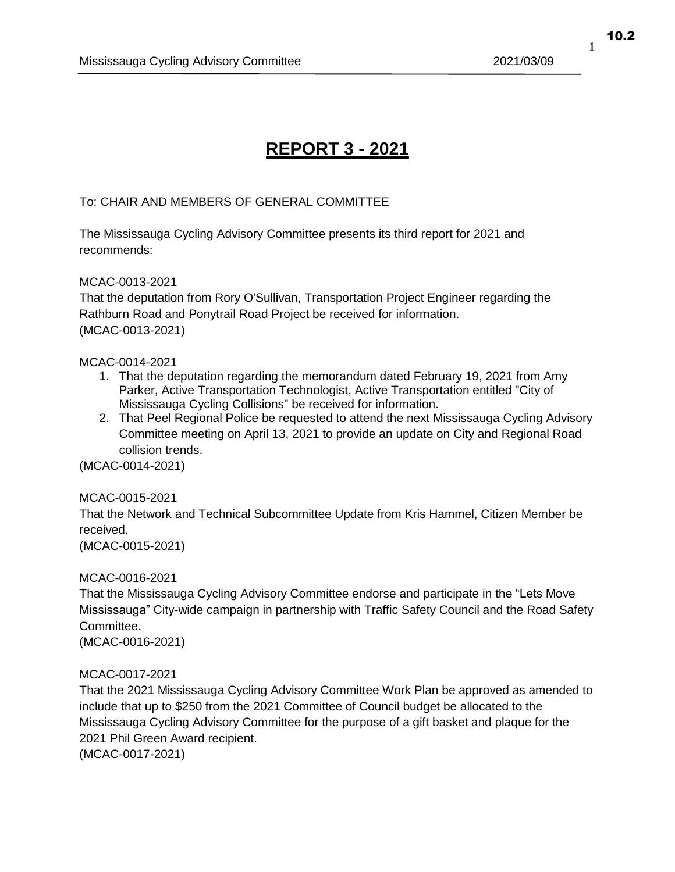# **REPORT 3 - 2021**

# To: CHAIR AND MEMBERS OF GENERAL COMMITTEE

The Mississauga Cycling Advisory Committee presents its third report for 2021 and recommends:

#### MCAC-0013-2021

That the deputation from Rory O'Sullivan, Transportation Project Engineer regarding the Rathburn Road and Ponytrail Road Project be received for information. (MCAC-0013-2021)

#### MCAC-0014-2021

- 1. That the deputation regarding the memorandum dated February 19, 2021 from Amy Parker, Active Transportation Technologist, Active Transportation entitled "City of Mississauga Cycling Collisions" be received for information.
- 2. That Peel Regional Police be requested to attend the next Mississauga Cycling Advisory Committee meeting on April 13, 2021 to provide an update on City and Regional Road collision trends.

(MCAC-0014-2021)

# MCAC-0015-2021

That the Network and Technical Subcommittee Update from Kris Hammel, Citizen Member be received.

(MCAC-0015-2021)

# MCAC-0016-2021

That the Mississauga Cycling Advisory Committee endorse and participate in the "Lets Move Mississauga" City-wide campaign in partnership with Traffic Safety Council and the Road Safety Committee.

(MCAC-0016-2021)

# MCAC-0017-2021

That the 2021 Mississauga Cycling Advisory Committee Work Plan be approved as amended to include that up to \$250 from the 2021 Committee of Council budget be allocated to the Mississauga Cycling Advisory Committee for the purpose of a gift basket and plaque for the 2021 Phil Green Award recipient.

(MCAC-0017-2021)

10.2

1